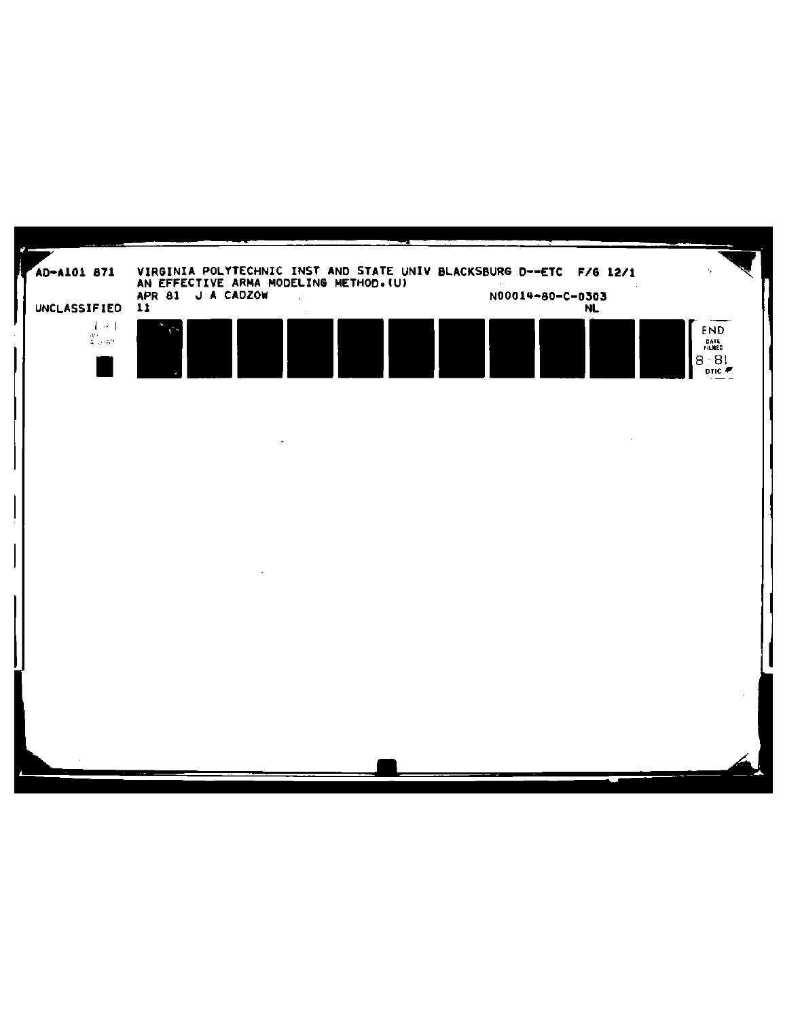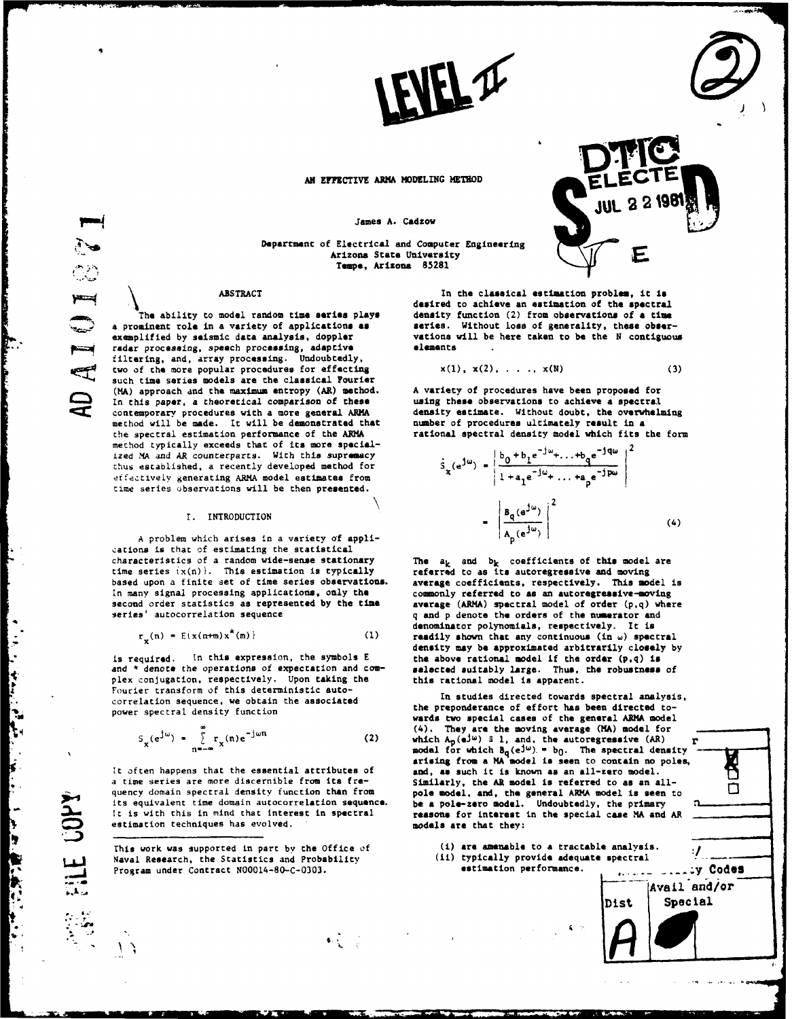

James **A.** Cadzow

Department of Electrical and Computer Engineering  $A$ rizons State University Arizona State University **Tape,** Arizona **85281**

The ability to model random time series plays density function (2) from observations of a time<br>a prominent role in a variety of applications as series. Without loss of generality, these obser**a** prominent role in **a** variety of applications **as** series. Without loss of generality, these **obser**radar processing, speech processing, adaptive filtering, and, array processing. Undoubtedly, two of the more popular procedures for effecting  $x(1)$ ,  $x(2)$ , ...,  $x(N)$  (3) such time series models are the classical Fourier (MA) approach and the maximum entropy (AR) method. A variety of procedures have been proposed for<br>In this paper, a theoretical comparison of these and using these observations to achieve a spectral In this paper, a theoretical comparison of these using **these** observations to achieve **a** spectral contemporary procedures with a more general ARMA method will be made. It will be demonstrated that number of procedures ultimately **result** in a the spectral estimation performance of the **ARM** rational spectral density model which fits the form method typically exceeds that of its more specialized MA and AR counterparts. With this supremacy thus established, a recently developed method for ffectively generating ARMA model estimates from l+a **e- +** ...+a **e-j** time series observations will be then **presented. \ 2**

A problem which arises in a variety of applications is that of estimating the statistical characteristics of a random wide-sense stationary The  $a_k$  and  $b_k$  coefficients of this model are time series  $(x(n))$ . This estimation is typically referred to as its autoregressive and moving time series  $\{x(n)\}\$ . This estimation is typically based upon a finite set of time series observations, **average** coefficients, respectively. This model is In many signal processing applications, only **the** comonly referred to **as** an **autoregressive-moving** second order statistics as represented **by** the time **average** (ARMA) spectral model of order **(p,q)** where

$$
\mathbf{r}_{\perp}(\mathbf{n}) = \mathbb{E}(\mathbf{x}(\mathbf{n}+\mathbf{m})\mathbf{x}^{\mathbf{x}}(\mathbf{m}))
$$
 (1)

and \* denote the operations of expectation and complex conjugation, respectively. Upon taking the this rational model is apparent. Fourier transform of this deterministic autocorrelation sequence, we obtain the associated **In studies directed** towards **spectral analysis,** power spectral density function

$$
S_{\mathbf{x}}(e^{\mathbf{j}\omega}) = \sum_{n=-\infty}^{\infty} r_{\mathbf{x}}(n)e^{-\mathbf{j}\omega n}
$$
 (2)

**It** often happens that the essential attributes of **and, as** such it is known as an all-zero model. quency domain spectral density function than from **pole model, and, the general ARMA** model is seen to its equivalent time domain autocorrelation **sequence. be a pole-zero** model. Undoubtedly, the primary It is with this in mind that interest in spectral **reasons** for interest in the special case MA and AR estimation techniques has evolved. models **are** that they:

Program under Contract **N00014-80-C-0303.** 

 $\label{eq:4} \Phi(\frac{1}{2},\frac{1}{2},\frac{1}{2})=\frac{1}{2}$ 

In the classical estimation problem, it is<br>desired to achieve an estimation of the spectral vations will be here taken to be the N contiguous alamants

I. INTRODUCTION 4())

series' autocorrelation sequence q and p denote **the** orders of **the numerator** and denominator polynomials, respectively. It is readily shown that any continuous (in w) spectral **density** may be approximated arbitrarily **closely by** is required. In this expression, the symbols **E** the **above** rational model if the **order (p,q)** is

wards two special **cases** of the **general** ARMA model (4). They are the moving average (MA) model for which  $A_p(e^{j\omega}) \equiv 1$ , and, the autoregressive (AR)  $S_x(e^{j\omega}) = \sum_{n=-\infty}^{\infty} r_x(n)e^{-j\omega n}$  (2) which  $A_p(e^{j\omega}) = 1$ , and, the autoregreesive (AR) representive (AR) representive (AR) representive (AR) representive (AR) representive (AR) representive (AR) representive (AR) repre Similarly, the AR model is referred to as an all-



Š ◘



**When** 

一、 う 理られたたい

 $\left| \ \right|$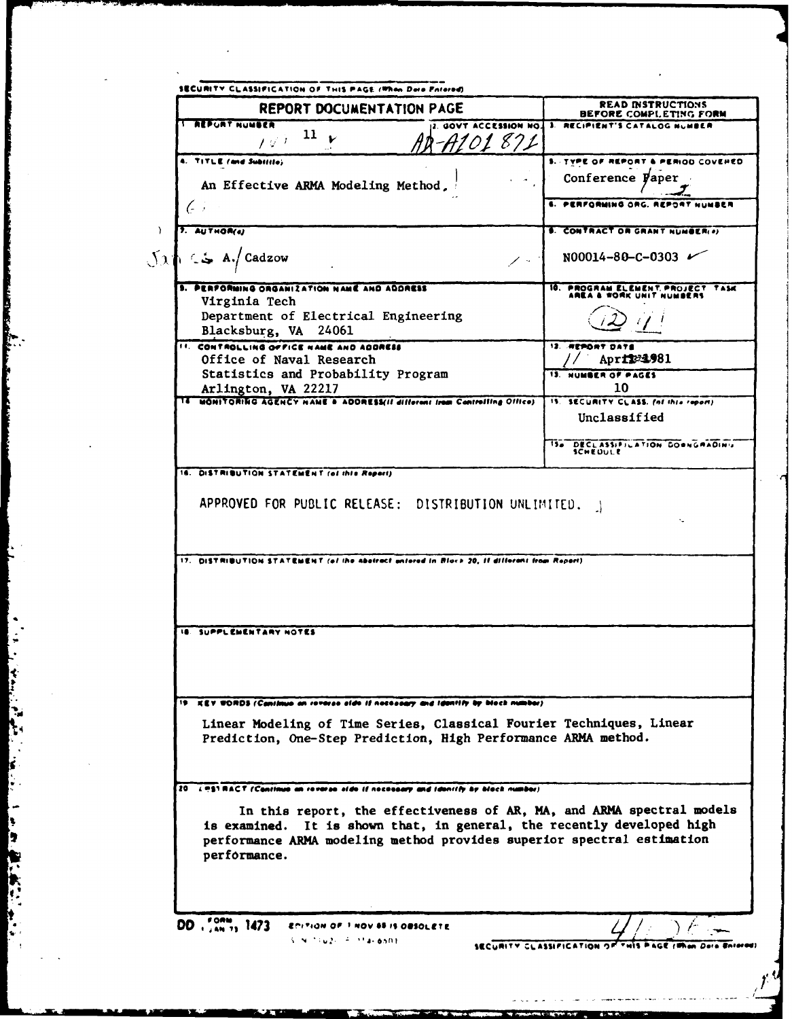| <b>REPORT DOCUMENTATION PAGE</b>                                                                                                                                                                                                          | <b>READ INSTRUCTIONS</b><br>BEFORE COMPLETING FORM             |
|-------------------------------------------------------------------------------------------------------------------------------------------------------------------------------------------------------------------------------------------|----------------------------------------------------------------|
| <b>REPURT NUMBER</b><br><b>CCESSION NO.</b><br>11                                                                                                                                                                                         | 3. RECIPIENT'S CATALOG NUMBER                                  |
| 101 871<br>$I \not\in I$                                                                                                                                                                                                                  |                                                                |
| <b>A. TITLE (and Subilite)</b>                                                                                                                                                                                                            | <b>IRIOD COVERED</b><br><b>S. TYPE OF REPORT</b>               |
| An Effective ARMA Modeling Method,                                                                                                                                                                                                        | Conference Paper                                               |
| (- )                                                                                                                                                                                                                                      | 4. РЕПЕСВЫМА ОВС.<br>有力的变形的                                    |
| 7. AUTHOR(a)                                                                                                                                                                                                                              | <b>6. CONTRACT OR GRANT NUMBER(0)</b>                          |
| A./Cadzow<br>$\sim$                                                                                                                                                                                                                       | N00014-80-C-0303 $\nu$                                         |
| PERFORMING ORGANIZATION NAME AND ADDRESS<br>Virginia Tech                                                                                                                                                                                 | 10. PROGRAM ELEMENT, PROJECT TASK<br>WORK UNIT NUMBERS         |
| Department of Electrical Engineering                                                                                                                                                                                                      |                                                                |
| Blacksburg, VA 24061                                                                                                                                                                                                                      |                                                                |
| <b>11. CONTROLLING OFFICE NAME AND ADDRESS</b>                                                                                                                                                                                            | 12. REPORT DATE                                                |
| Office of Naval Research                                                                                                                                                                                                                  | April 23,981                                                   |
| Statistics and Probability Program                                                                                                                                                                                                        | <b>13. NUMBER OF PAGES</b><br>10                               |
| Arlington, VA 22217<br>14 MONITORING AGENCY NAME & ADORESSIE different from Controlling Office)                                                                                                                                           | 15. SECURITY CLASS. (of this report)                           |
|                                                                                                                                                                                                                                           | Unclassified                                                   |
|                                                                                                                                                                                                                                           | <b>IS&amp; DECLASSIFILATION DOWNGRADING</b><br><b>SCHEDULE</b> |
| 16. DISTRIBUTION STATEMENT (of this Report)                                                                                                                                                                                               |                                                                |
|                                                                                                                                                                                                                                           |                                                                |
| APPROVED FOR PUBLIC RELEASE: DISTRIBUTION UNLIMITED.                                                                                                                                                                                      |                                                                |
| 17. DISTRIBUTION STATEMENT (of the abotract untered in Block 20, if different from Report).                                                                                                                                               |                                                                |
| <b>18. SUPPLEMENTARY NOTES</b>                                                                                                                                                                                                            |                                                                |
|                                                                                                                                                                                                                                           |                                                                |
| 19 ICY WORDS (Cantinua an revorse alde if notesaary and identify by block number)                                                                                                                                                         |                                                                |
| Linear Modeling of Time Series, Classical Fourier Techniques, Linear<br>Prediction, One-Step Prediction, High Performance ARMA method.                                                                                                    |                                                                |
| 20. LASTRACT (Continue on revorse side if necessary and identify by black number)                                                                                                                                                         |                                                                |
| In this report, the effectiveness of AR, MA, and ARMA spectral models<br>is examined. It is shown that, in general, the recently developed high<br>performance ARMA modeling method provides superior spectral estimation<br>performance. |                                                                |
|                                                                                                                                                                                                                                           |                                                                |

**のことには、このことには、このことに、このことに、このことに、このことに、このことに、このことに、このことに、このことに、このことに、このことに、このことに、このことに、このことに、このことに、このこ** 

All and the second control of the control of the control of the control of the control of the control of the control of the control of the control of the control of the control of the control of the control of the control

ķ.

2. 第1章

k,

 $f^{\cal U}$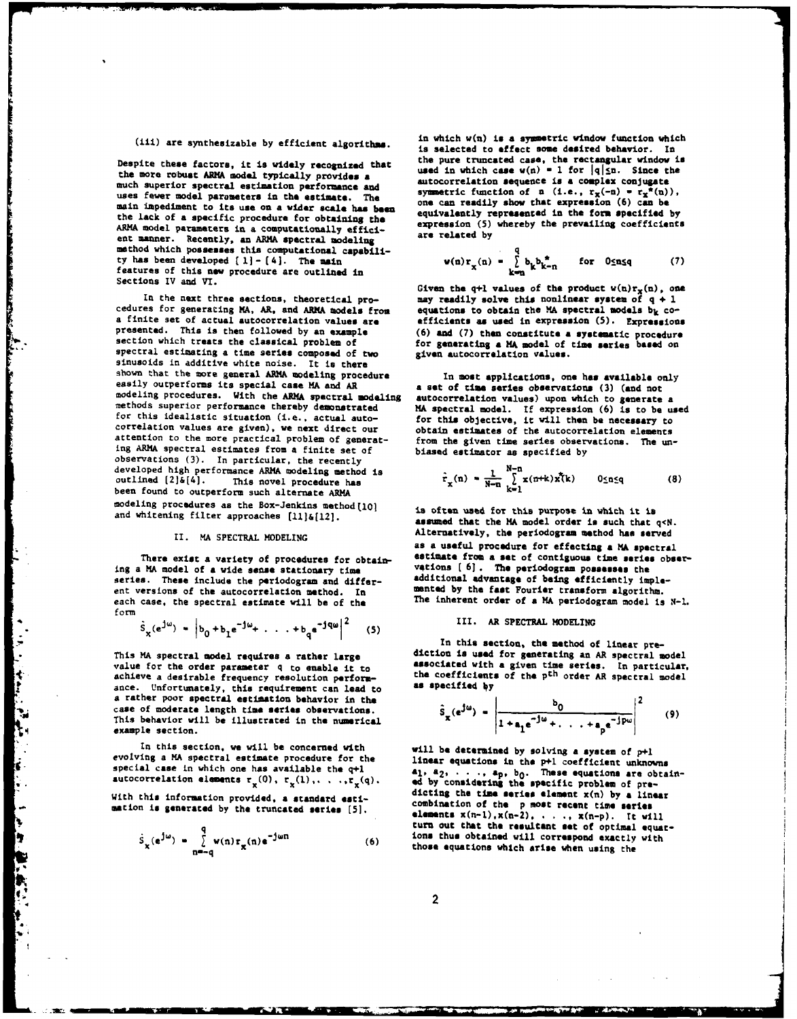much superior spectral estimation performance and<br>uses fewer model parameters in the estimate. The <br>noise in a symmetric function of a (i.e.,  $r_x(-n) = r_x^*(n)$ ),<br>noise in a symmetric function of a (i.e.,  $r_x(-n) = r_x^*(n)$ ), main impediment to its use on a wider scale has been<br>the lack of a specific procedure for obtaining the<br>the lack of a specific procedure for obtaining the<br>ARMA model parameters in a computationally effici-<br>ent manner. Rec features of this new procedure are outlined in  $\begin{array}{ccc}\n\text{S} & \text{k}^{\text{max}} & \text{k}^{\text{max}} \\
\text{S} & \text{K} & \text{K}^{\text{max}}\n\end{array}$ <br>
Given the q+l values of the product w(n)r<sub>x</sub>(n), one

spectral estimating a time series composed of two<br>sinusoids in additive white noise. It is there<br>shown that the more general ARMA modeling procedure shown that the more general ARMA modeling procedure<br>easily outperforms its special case MA and AR<br>modeling procedure<br>methods superior performance thereby demonstrated modeling<br>methods superior performance thereby demonstra developed high performance ARMA modeling method is<br>outlined  $[2] \delta[4]$ . This novel procedure has<br>been found to outperform such alternate ARMA modeling procedures as the Box-Jenkins method(10) is often used for this purpose in which it is

series. These include the periodogram and differ-<br>ent versions of the autocorrelation method. In a mented by the fast Fourier transform algorithm. each case, the spectral estimate will be of the The inherent order of a MA periodogram model is N-1.<br>form

$$
\hat{s}_x(e^{j\omega}) = |b_0 + b_1 e^{-j\omega_+} \cdot \cdot \cdot + b_q e^{-jqa} |^2
$$
 (5)

value for the order parameter q to enable it to<br>achieve a desirable frequency resolution perform-<br>ance. Unfortunately, this requirement can lead to<br>a rather poor spectral estimation behavior in the<br>case of modern less ene

**Construction** 

In this section, we will be concerned with will be determined by solving a system of p+l evolving a MA spectral estimate procedure for the linear equations in the p+l coefficient uphone

$$
\hat{S}_{\chi}(e^{\frac{1}{2}u}) = \sum_{n=-q}^{q} w(n) r_{\chi}(n) e^{-\frac{1}{2}u n}
$$
 (6)

in which w(n) **is a** symmetric window function which (iii) are synthesizable **by** efficient algorithms. is selected to effect some **desired** behavior. In Despite these factors, it is widely recognized that<br>the pure truncated case, the rectangular window is<br>the more robust ARMA model typically provides a<br>much ennoten according to the dutocorrelation sequence is a complex co

$$
g(n)x_{\mathbf{x}}(n) = \sum_{k=n}^{q} b_{k}b_{k-n}^{*} \quad \text{for } 0 \le n \le q \tag{7}
$$

In the next three sections, theoretical pro-<br>cedures for generating MA, AR, and ARMA models from<br>a finite set of actual autocorrelation values are<br>a finite set of actual autocorrelation values are<br>presented. This is then

$$
\hat{r}_x(n) = \frac{1}{N-n} \sum_{k=1}^{N-n} x(n+k) x^{k}(k) \qquad 0 \le n \le q \tag{8}
$$

and whitening filter approaches [11]&[12]. **as oncen used for the MA model order is such that** q<N. II. MA SPECTRAL **MODELING** Alternatively, **the** periodogrom method has served There exist a variety of procedures for obtain-<br>
There exist a variety of procedures for obtain-<br>
ing a MA model of a vide sense stationary time<br>
series. These include the periodogram and differ-<br>
series. These include the

## **..** Sx(ejw) **-** <sup>b</sup> <sup>0</sup>**+bleJ <sup>+</sup>**. **. . +b.jq 2 (5) II.** AR SPECTRAL **MODELING**

**In this section, the method** of linear **pre-**This MA spectral **model requires a rather large diction is used** for generating an AR spectral model

$$
\hat{S}_x(e^{j\omega}) = \left|\frac{b_0}{1 + a_1 e^{-j\omega} + \ldots + a_p e^{-j\omega}}\right|^2 \qquad (9)
$$

evolving a MA spectral estimate procedure for the linear equations in the p+1 coefficient unknowns<br>special case in which one has available the q+1 a<sub>1</sub>, a<sub>2</sub>, . . ., a<sub>p</sub>, b<sub>0</sub>. These equations are obtain-<br>autocorrelation with this information provided, **a** standard dicting **the** time **series** element x(n) **by a** linear esti- combination of **the p most recent time series -** mation **is generated by** the truncated **series [5]. elements** x(n-),x(n-2), **. . .,** x(n-p). It will turn out that the resultant set of optimal equations thus obtained will correspond exactly with those equations which arise when using the

 $\overline{2}$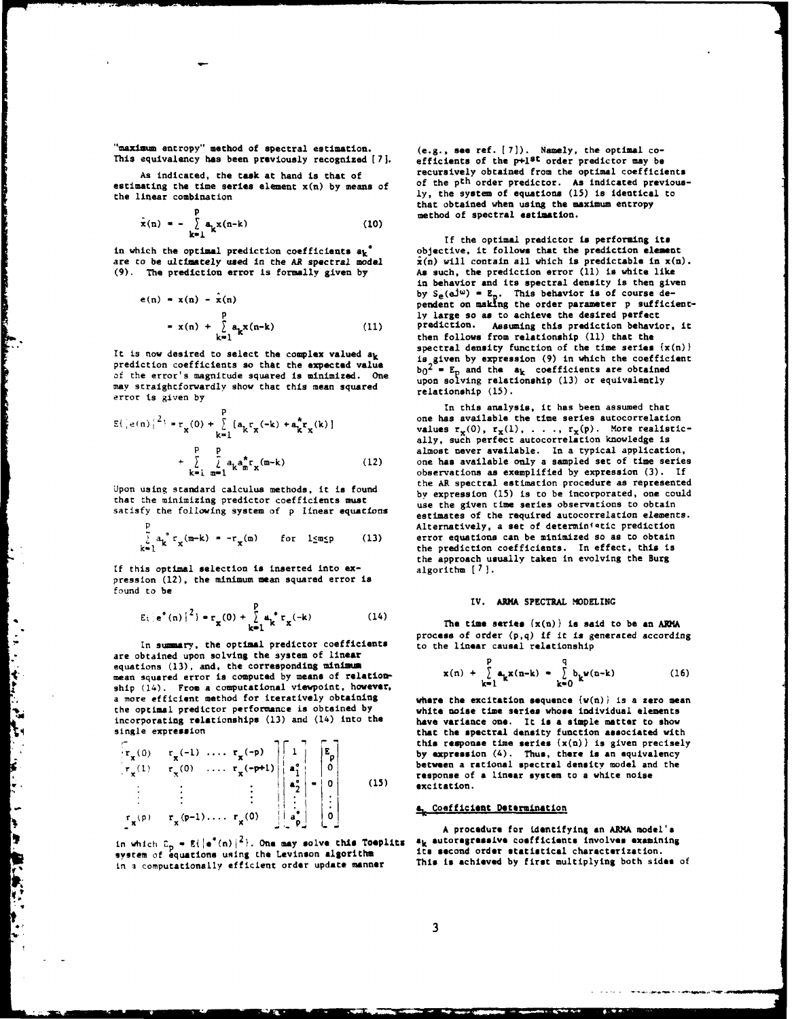"maximm entropy" method of spectral estimation. (e.g., **see** ref. **[7]).** Namely, the optimal co-

estimating the time series element  $x(n)$  by means of the linear combination.

$$
\hat{\mathbf{x}}(\mathbf{n}) = -\sum_{\mathbf{k}=\mathbf{1}}^{\mathbf{p}} \mathbf{a}_{\mathbf{k}} \mathbf{x}(\mathbf{n}-\mathbf{k}) \tag{10}
$$

$$
e(n) = x(n) - \hat{x}(n)
$$
  
\n
$$
= x(n) + \sum_{k=1}^{n} a_k x(n-k)
$$
 (11)

of the error's magnitude squared is minimized. One upon solving relationship (13) **or** equivalently may straightforwardly show that this mean squared **relationship** (15). error **ts** given **by**

ていまく うず オリリン ちゅうじょ しゅうりし かんばん たいしゅう こうしゅうしょう こうしょう しゅうしょう こうしょう

 $\frac{1}{2}$ 

٦.

k

İT

I.

$$
E\left(\left|e(n)\right|^2\right) = r_{\mathbf{x}}(0) + \sum_{k=1}^{p} \left[a_k r_{\mathbf{x}}(-k) + a_k^* r_{\mathbf{x}}(k)\right] + \sum_{k=1}^{p} \sum_{m=1}^{p} a_k a_m^* r_{\mathbf{x}}(m-k)
$$
(12)

that the minimizing predictor coefficients must<br>as the given time series observations to obtain

$$
\int_{k=1}^{r} a_k^{\circ} r_x(m-k) = -r_x(m) \quad \text{for } l \leq m \leq p \qquad (13)
$$

If this optimal selection is inserted into expression (12), the minimum mean squared error is found to be

$$
E_{1} |e^{a} (n) |^{2} \rangle = r_{\mathbf{x}} (0) + \sum_{k=1}^{p} a_{k}^{a} r_{\mathbf{x}} (-k)
$$
 (14)

In summary, the optimal predictor coefficients to the linear causal relationship are obtained upon solving the system of **linear** equations (13), and, the corresponding minimum mean squared error is computed by means of relationship (14). From a computational viewpoint, however, a more efficient method for iteratively obtaining **where** the excitation sequence (w(n)} is a zero mean the optimal predictor performance is obtained **by** white **noise** time series **whose** individual elements incorporating relationships (13) and (14) into the have variance one. It is a simple matter to show

$$
\begin{bmatrix}\n\mathbf{r}_x(0) & \mathbf{r}_x(-1) & \cdots & \mathbf{r}_x(-p) \\
\mathbf{r}_x(1) & \mathbf{r}_x(0) & \cdots & \mathbf{r}_x(-p+1) \\
\vdots & \vdots & \vdots & \vdots \\
\mathbf{r}_x(p) & \mathbf{r}_x(p-1) & \cdots & \mathbf{r}_x(0)\n\end{bmatrix}\n\begin{bmatrix}\n1 \\
a_1^2 \\
\vdots \\
a_p^2\n\end{bmatrix}\n-\n\begin{bmatrix}\nE_p \\
0 \\
0 \\
\vdots \\
0\n\end{bmatrix}
$$
\n(15)

system of equations using the Levinson algorithm its second order statistical characterization.<br>In a computationally afficient order undate manner This is achieved by first multiplying both sides of in a computationally efficient order update manner

This equivalency has been previously recognized [7]. <br>**efficients** of the p+l<sup>st</sup> order predictor may be As indicated, the task at hand is that of recursively obtained from the optimal coefficients<br>wating the time series element x(n) by means of of the p<sup>th</sup> order predictor. As indicated previously, the system of equations (15) is identical to that obtained when using the maximum entropy method of spectral estimation.

If the optimal predictor is performing its in which the optimal prediction coefficients  $a_k^*$  objective, it follows that the prediction element are to be ultimately used in the AR spectral model  $\hat{x}(n)$  will contain all which is predictable in  $x(n)$ are to be ultimately used in the AR spectral model  $\hat{x}(n)$  will contain all which is predictable in  $x(n)$ .<br>(9). The prediction error is formally given by as such, the prediction error (11) is white like As such, the prediction error (11) is white like in behavior **and** its spectral density is then given e(n) **-** x(n) -  $\hat{x}(n)$  **-** i(n) **-** i(n) **-** i(n) **-** i(n) **- i(n)**  $\hat{x}(n)$  **-**  $\hat{y}(n)$  **-**  $\hat{z}(n)$  pendent on making the order parameter **p** sufficiently large so as to achieve the desired perfect prediction. Assuming this prediction behavior, it then follows from relationship (11) that the<br>spectral density function of the time series  $(x(n))$ It is now desired to select the complex valued  $a_k$  spectral density function of the time seles (A(H))<br>prediction coefficients so that the expected value<br>of the summle prediction coefficients are obtained

**p** In this analysis, it has been assumed that one has available the time series autocorrelation **values**  $\mathbf{r}_{\mathbf{x}}(0)$ ,  $\mathbf{r}_{\mathbf{x}}(1)$ , ...,  $\mathbf{r}_{\mathbf{x}}(p)$ . More realistically, such perfect autocorrelation knowledge is almost never available. In a typical application, one has available only a sampled set of time series **k-i m-I** observations as exemplified **by** expression **(3). If** the AR spectral estimation procedure as represented Upon using standard calculus methods, it is found by expression **(15)** is to be incorporated, **one** could satisfy the following system of **p** linear equations **estmates of the required autocorrelation elements. P Alternatively, a set of deterministic prediction** error equations can be minimized so as to obtain<br>the prediction coefficients. In effect, this is the approach usually taken in evolving the Burg algorithm  $[7]$ .

### **p** IV. ARMA SPECTRAL **MODELING**

The time series  $\{x(n)\}\$ is said to be an ARMA process of order **(p,q)** if it **is** generated according

$$
x(n) + \sum_{k=1}^{p} a_k x(n-k) = \sum_{k=0}^{q} b_k \nu(n-k)
$$
 (16)

single expression that the **spectral density** function associated with **I- E** this **response** time **series** (x(n)} is given precisely by expression  $(4)$ . Thus, there is an equivalency **1 0** between a rational spectral density model and the **x.(** response of **a linear** system to a white noise a; **02** excitation.

# **Sr p) rx(P-)** .... **r()** i **a,** Coefficient Determination

**"** " **A procedure** for identifying **an ARMA model's** in which  $E_p = E(|e^*(n)|^2)$ . One may solve this Toeplits  $E_k$  autoregressive coefficients involves examining  $\frac{1}{2}$  and  $\frac{1}{2}$  its second order statistical characterization.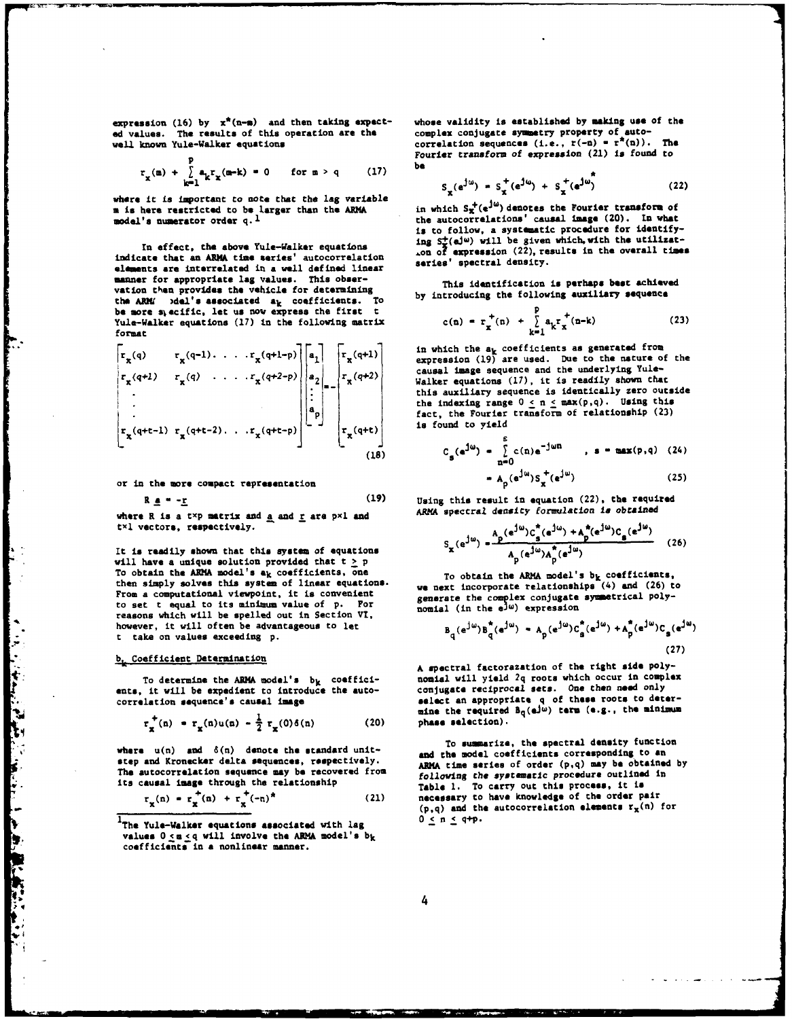**ed** values. The results of this operation **are** the complex conjugate symmetry property of auto**well.** known Yule-Walker equations correlation sequences (i.e., r(-n) **-** r\*(n)). The

$$
r_{x}(\mathbf{m}) + \sum_{k=1}^{p} a_{k} r_{x}(\mathbf{m-k}) = 0 \quad \text{for } \mathbf{m} > q \qquad (17)
$$

where it is important to note that the lag variable m is here restricted to be larger than the ARMA model's numerator order  $q$ .<sup>1</sup>

indicate that an ARMA time series' autocorrelation and or expression (22), real density. manner for appropriate **lag** values. This obsermanner tor appropriate isg values. This obser-<br>vation the provides the vehicle for determining<br>the ABM/ viel's associated at coefficients. To by introducing the following auxiliary sequence the ARM **)del's associated ak** coefficients. To **by introducing the following auxiliary sequence be more** stecific, let **us** now express the first t **+** Yule-Walker equations (17) in the following matrix format format **k.**<sup>1</sup>

| \n $\begin{bmatrix}\n r_x(q) & r_x(q-1) & \cdots & r_x(q+1-p) \\  r_x(q+1) & r_x(q) & \cdots & r_x(q+2-p) \\  \vdots & \vdots & \vdots & \vdots \\  r_x(q+1) & r_x(q+1-p) & \cdots & r_x(q+2-p)\n \end{bmatrix}$ \n | \n $\begin{bmatrix}\n r_x(q+1) & \cdots & r_x(q+2-p) \\  r_x(q+2) & \cdots & r_x(q+2-p) \\  \vdots & \vdots & \vdots \\  r_x(q+1) & r_x(q+1-p) & \cdots & r_x(q+1-p)\n \end{bmatrix}$ \n | \n $\begin{bmatrix}\n r_x(q+2) & \cdots & r_x(q+2-p) \\  r_x(q+2) & \cdots & r_x(q+2-p) \\  \vdots & \vdots & \vdots & \vdots \\  r_x(q+1) & \cdots & r_x(q+1-p)\n \end{bmatrix}$ \n | \n $\begin{bmatrix}\n r_x(q+1) & \cdots & r_x(q+1-p) \\  r_x(q+1) & \cdots & r_x(q+1-p)\n \end{bmatrix}$ \n | \n $\begin{bmatrix}\n r_x(q+1) & \cdots & r_x(q+1-p) \\  r_x(q+1) & \cdots & r_x(q+1-p)\n \end{bmatrix}$ \n | \n $\begin{bmatrix}\n r_x(q+1) & \cdots & r_x(q+1-p) \\  r_x(q+1) & \cdots & r_x(q+1-p)\n \end{bmatrix}$ \n | \n $\begin{bmatrix}\n r_x(q+1) & \cdots & r_x(q+1-p) \\  r_x(q+1) & \cdots & r_x(q+1-p)\n \end{bmatrix}$ \n | \n $\begin{bmatrix}\n r_x(q+2) & \cdots & r_x(q+2-p) \\  r_x(q+1) & \cdots & r_x(q+1-p)\n \end{bmatrix}$ \n |
|---------------------------------------------------------------------------------------------------------------------------------------------------------------------------------------------------------------------|------------------------------------------------------------------------------------------------------------------------------------------------------------------------------------------|--------------------------------------------------------------------------------------------------------------------------------------------------------------------------------------|-------------------------------------------------------------------------------------------------------------|-------------------------------------------------------------------------------------------------------------|-------------------------------------------------------------------------------------------------------------|-------------------------------------------------------------------------------------------------------------|-------------------------------------------------------------------------------------------------------------|
|---------------------------------------------------------------------------------------------------------------------------------------------------------------------------------------------------------------------|------------------------------------------------------------------------------------------------------------------------------------------------------------------------------------------|--------------------------------------------------------------------------------------------------------------------------------------------------------------------------------------|-------------------------------------------------------------------------------------------------------------|-------------------------------------------------------------------------------------------------------------|-------------------------------------------------------------------------------------------------------------|-------------------------------------------------------------------------------------------------------------|-------------------------------------------------------------------------------------------------------------|

or in the more compact representation **- <sup>A</sup>(G )S ( <sup>w</sup> )** (25)

ļ.

be a completed of the complete of the complete of the complete of the complete of the complete of the complete of the complete of the complete of the complete of the complete of the complete of the complete of the complete

where R is a txp matrix and <u>a</u> and <u>r</u> are pxl and txl vectors, respectively.

It is readily shown that this system of equations will have a unique solution provided that  $t > p$ To obtain the ARMA model's  $a_k$  coefficients, one then simply solves this system of linear equations. From a computational viewpoint, it is convenient generate the complex conjugate symmetrical polyto set t equal to its minimum value of **p.** For nomial **(in the sJw)** expression reasons which will be spelled out in Section VI, however, it will often be advantageous to let t take on values exceeding p.

# **b,** Coefficient Determination **(27)**

ents, it will be expedient to introduce the auto-<br>conjugate reciprocal sets. One then need only<br>correlation sequence's causal image select an appropriate q of these roots to det

$$
r_{\mathbf{x}}^{+}(n) = r_{\mathbf{x}}(n)u(n) - \frac{1}{2} r_{\mathbf{x}}(0)\delta(n) \qquad (20)
$$

step and Kronecker delta sequences, respectively. ARM time series of order **(p,q)** may **be** obtained **by** The autocorrelation sequence may **be** recovered from following **the** systematic procedure outlined in its causal image through the relationship **Table 1.** To carry out **this process,** it is

$$
r_{x}(n) = r_{x}^{+}(n) + r_{x}^{+}(-n)^{*}
$$
 (21)

expression (16) by  $x^*(n-m)$  and then taking expect- whose validity is established by making use of the<br>ed values. The results of this operation are the complex conjugate symmetry property of auto**p** Fourier transform of expression (21) **is** found to

$$
r_x(a-k) = 0 \quad \text{for } m > q \qquad (17) \qquad \qquad \frac{1}{x} (e^{j\omega}) = s_x^+(e^{j\omega}) + s_x^+(e^{j\omega}) \qquad (22)
$$

in which  $S_{\vec{x}}^+(\epsilon^{j\omega})$  denotes the Fourier transform of the autocorrelations' causal image (20). In what **is** to follow, a systematic procedure for identify-In effect, the above Yule-Walker equations ing  $S_{\mathcal{I}}^{\bullet}(\mathbf{a})^{(\omega)}$  will be given which, with the utilizat-<br>indicate that an ARMA time series' autocorrelation and the despression (22), results in the overall times

$$
c(n) = rx+(n) + \sum_{k=1}^{p} a_k rx+(n-k)
$$
 (23)

expression **(19)** are used. Due to the nature of the **q+l)** *r* **(q) . . . .***r(q+2-p)* a *r(q+2)* **rr** causal image sequence and the underlying Yule**rx x x2** 21 Walker equations **(17),** it is readily shown that this auxiliary sequence is identically zero outside the indexing range  $0 \le n \le \max(p,q)$ . Using this fact, the Fourier transform of relationship (23) is found to yield

(18) 
$$
C_g(e^{j\omega}) = \sum_{n=0}^{\infty} c(n)e^{-j\omega n}
$$
,  $s = \max(p,q)$  (24)  
=  $A_p(e^{j\omega})S_x^+(e^{j\omega})$  (25)

R **a** = -<u>r</u> (19) Using this result in equation (22), the required<br>R is a syn matrix and a and r and nail and aRMA spectral density formulation is obtained

$$
S_{x} (e^{j\omega}) = \frac{A_{p} (e^{j\omega}) C_{g}^{*} (e^{j\omega}) + A_{p}^{*} (e^{j\omega}) C_{g} (e^{j\omega})}{A_{p} (e^{j\omega}) A_{p}^{*} (e^{j\omega})}
$$
(26)

To obtain the ARMA model's b<sub>k</sub> coefficients. we next incorporate relationships (4) and (26) to

$$
B_{q}(e^{j\omega})B_{q}^{\star}(e^{j\omega}) = A_{p}(e^{j\omega})C_{a}^{\star}(e^{j\omega}) + A_{p}^{\star}(e^{j\omega})C_{s}(e^{j\omega})
$$
\n(27)

A spectral factorazation of the right **side** poly-To determine the ARMA model's **b<sub>k</sub>** coeffici-<br>ents, it will be expedient to introduce the auto-<br>conjugate reciprocal sets. One then need only correlation sequence's causal image select an appropriate **q** of these roots to deter**r 1 mine** the required Bq(eJw) **term (e.g., the** minimum r **(n) - rx (n)u(n)- rx(O)8(n)** (20) **phase** selection).

To summarize, the spectral density function where  $u(n)$  and  $\delta(n)$  denote the standard unit-<br>and the model coefficients corresponding to an  $r_x(n) = r_x^+(n) + r_x^+(-n)^*$  (21) necessary to have knowledge of the order pair<br>(p,q) and the autocorrelation elements  $r_x(n)$  for<br>The Yule-Walker equations associated with lag  $0 \le n \le q+p$ .

values  $0 \le m \le q$  will involve the ARMA model's **b**k coefficients in **a** nonlinear manner.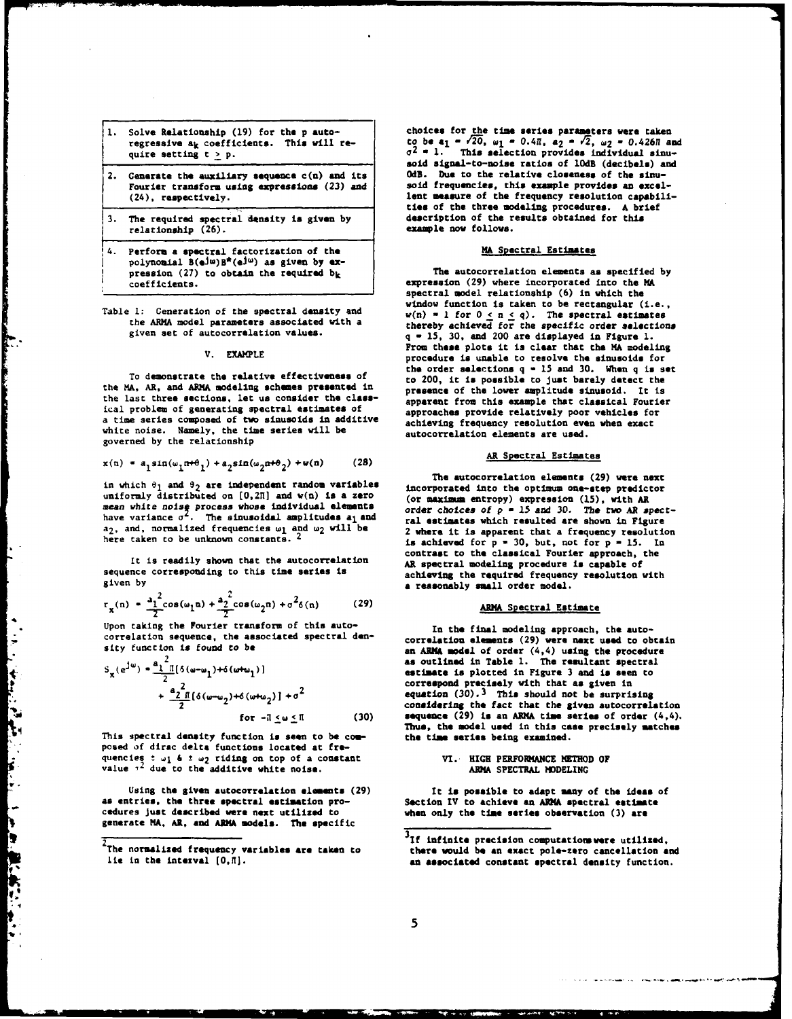| 1. | Solve Relationship (19) for the p auto-                              |  |
|----|----------------------------------------------------------------------|--|
|    | regressive at coefficients. This will re-<br>quire setting $t > p$ . |  |
|    |                                                                      |  |

- Fourier transform using expressions (23) and
- 3. The required spectral density is given by **description** of the results of the results of the results of the results of the results of the results of the results of the results of the results of the results of the result relationship (26).
- 4. Perform **a** spectral factorization of **the MA** Spectral Estimates polynomial  $B(e^{j\omega})B^*(e^{j\omega})$  as given by expression **(27)** to obtain the required **bk** The autocorrelation elements as specified **by**
- 

the MA, AR, and ARMA modeling schemes **presented** in **presence** of the lower amplitude sinusoid. It is the last three sections, let us consider the **class-** apparent from this example that classical Fourier ical problem of generating spectral **estimates** of approaches provide relatively poor vehicles for a time series composed of two sinusoids in additive achieving frequency resolution even when exact white noise. Namely, the time series will **be** autocorrelation elements are used. governed **by** the relationship

$$
x(n) = a_1 \sin(\omega_1 n + \theta_1) + a_2 \sin(\omega_2 n + \theta_2) + v(n)
$$
 (28)

uniformly distributed on **[O,2H]** and w(n) is a zero (or **maximm** entropy) expression **(15),** with AR mean white noise process whose individual elements (or maximum entropy) expression (15), with as<br>have variance  $\sigma^2$ . The sinusoidal amplitudes a<sub>l</sub> and  $\sigma^2$  and  $\sigma^2$  and  $\sigma^2$  and  $\sigma^2$  and  $\sigma^2$  and  $\sigma^2$  and  $\$ a<sub>2</sub>, and, normalized frequencies w<sub>1</sub> and w<sub>2</sub> will be 2 where it is apparent that a frequency resolution<br>here taken to be unknown constants. <sup>2</sup> is achieved for **p** = 30, but, not for **p** = 15. In

given by **a** *reasonably* **small order model.** 

$$
r_{x}(n) = \frac{a_{1}^{2}}{2} \cos(\omega_{1}n) + \frac{a_{2}^{2}}{2} \cos(\omega_{2}n) + \sigma^{2}\delta(n) \qquad (29)
$$

Upon taking the Fourier transform of this auto- In the final modeling approach, **the auto**correlation sequence, the associated spectral den-

Ļ.

 $\frac{1}{2}$ 

¥ Ŋ.

k Ļ. l o h þ

**REA** Ţ

$$
S_{\mathbf{x}}(e^{j\omega}) = \frac{a_1^2 \pi (3(\omega - \omega_1) + 6(\omega + \omega_1))}{2} + \frac{a_2^2 \pi (6(\omega - \omega_2) + 6(\omega + \omega_2)) + \sigma^2}{6\sigma - \pi \le \omega \le \pi}
$$
(30)

This spectral density function **is** seen to **be corn- the** time series being examined. posed of dirac delta functions located at fre-<br>quencies t w<sub>1</sub> & *±* w<sub>2</sub> riding on top of a constant MI. HIGH PERFORMANCE METHOD OF<br>value <sup>12</sup> due to the additive white noise. ARMA SPECTRAL MODELINC

Using the given autocorrelation **elements (29)** It **is possible** to adapt many of **the ideas** of as **entries, the three spectral** estimation pro- Section IV to achieve an **AlMA** spectral **estimate** cedures just described **were** next utilized to when only the time **series observation (3) are** generate MA. **AR,** and **ANMA models.** The specific

**1.** Solve Relationship **(19)** for the **p** auto- choices for the time series parameters were taken regressive a<sub>k</sub> coefficients. This will re-<br>quire setting  $t \ge p$ .<br> $\sigma^2 = 1$ . This selection provides individual sinusoid signal-to-noise ratios of 10dB (decibels) and 0dB. Due to the relative closeness of the sinu-**2.** Generate the auxiliary sequence c(n) and its OdB. **Due** to the relative **closeness** of the sinu-(24), respectively, lent measure of the frequency resolution capabilities of the three modeling procedures. **A** brief

coefficients. expression **(29)** where incorporated into the MA spectral model relationship **(6)** in which the window function is taken to be rectangular (i.e., Table **1:** Generation of the spectral density and w(n) **- <sup>I</sup>**for **0 <** n **< q).** The spectral estimates the ARMA model parameters associated with a thereby achieved for the specific order selections<br>given set of autocorrelation values.<br> $a = 15-30$  and 200 are displayed in Educations given set of autocorrelation values. **q - 15, 30,** and 200 are displayed in Figure **1.** From **these** plots it is clear that the MA modeling V. EXAMPLE procedure is unable to resolve the sinusoids for the order selections **q - <sup>15</sup>**and **30. When q** is set To demonstrate the relative effectiveness of to 200, it **is** possible to just barely detect the

The autocorrelation elements **(29)** were next in which  $\theta_1$  and  $\theta_2$  are independent random variables incorporated into the optimum one-step predictor ral estimates which resulted are shown in Figure contrast to the classical Fourier approach, the<br>It is readily shown that the autocorrelation AR spectral modeling procedure is capable of<br>sequence corresponding to this time series is achieving the required frequency resolution with

## **rx(n)** *-* **I** cos(wln) **+a2 cos(W 2n) +a26(n) (29) ARMA** Spectral Estimate

correlation sequence, the associated spectral den-<br>sity function is found to be **an ARMA model** of order (4,4) using the procedure as outlined in Table 1. The resultant spectral estimate is plotted in Figure 3 and is seen to correspond precisely with that as given in equation (30).<sup>3</sup> This should not be surprising *<sup>+</sup>*'2 **-W2 )+6(w 2 )] +02** equation **(30).3** This should not **be** surprising 2 considering the fact that the given autocorrelation sequence (29) is an ARMA time series of order (4,4). **Thus,** the model **used** in this case precisely **matches**

state and completely and the state

<sup>&</sup>lt;sup>3</sup>If infinite precision computations were utilized. The normalized frequency **variables are** taken to there would **be an exact** pole-zero cancellation **and** lie in the interval **(0,H).** an **associated** constant spectral density function.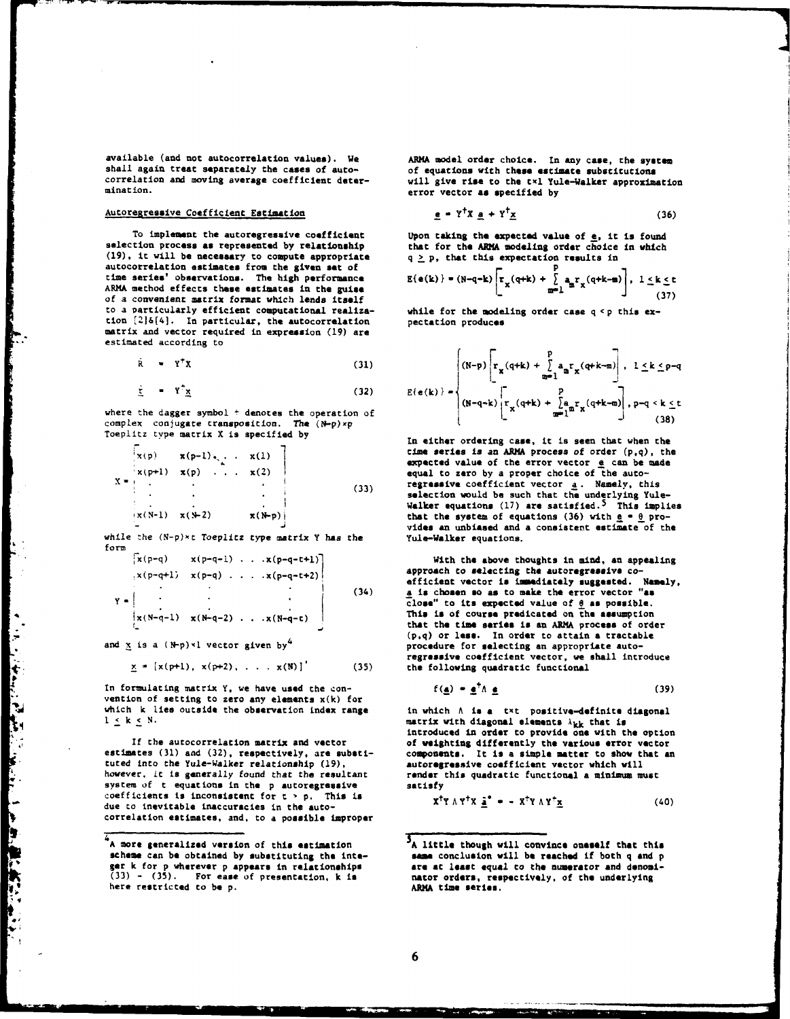available (and not autocorrelation values). **We** ARMA **model** order choice. In any case, the **system** shall again treat separately the cases of auto-<br>correlation and moving average coefficient deter-<br>yill give rise to the txl Yule-Walker approxime

## $A$ utoregressive Coefficient Estimation

To implement the autoregressive coefficient Upon taking the expected value of e, it is found<br>selection process as represented by relationship that for the ARMA modeling order choice in which **(19).** it will **be** necessary to compute appropriate q I **p,** that this expectation results in autocorrelation estimates from the given **set** of **p** ARMA method effects these estimates in the guise of a convenient matrix format which lends itself to a Particularly efficient computational realiza- while for the modeling order case **q <p** this extion [2]&[4]. In particular, the autocorrelation pectation produces matrix and vector required in expression **(19)** are estimated according to

$$
\dot{\mathbf{R}} = \mathbf{Y}^{\dagger} \mathbf{X} \tag{31}
$$

$$
\underline{y} = Y \underline{x} \tag{32}
$$

where the dagger symbol + denotes the operation of complex conjugate transposition. The **(N-p)xp** Toeplitz **type** matrix **X is specified by** in either ordering **case,** it is seen that when the

$$
x(p) = x(p-1) \cdot \ldots \cdot x(1)
$$
  
\n
$$
x(p+1) = x(p) \cdot \ldots \cdot x(2)
$$
  
\n
$$
\vdots \qquad \vdots \qquad \vdots
$$
  
\n
$$
x(N-1) = x(N-2) \qquad x(N-p)
$$
  
\n(33)

while the  $(N-p)*t$  Toeplitz type matrix Y has the form

$$
x(p-q-1) \dots x(p-q-t+1)
$$
  
\n
$$
x(p-q+1) \times (p-q) \dots x(p-q-t+2)
$$
  
\n
$$
y = x(N-q-1) \times (N-q-2) \dots x(N-q-t)
$$
 (34)

$$
x = [x(pt+1), x(pt+2), \ldots, x(N)]'
$$
 (35)

In formulating matrix **Y,** we have **used** the con- **f(a) -** 1tA **a (39)** In formulating matrix  $Y$ , we have used the con-<br>vention of setting to zero any elements  $x(k)$  for which **k** lies outside the observation index range in which A **is a txt** positive-definite diagonal  $1 \leq k \leq N$ . matrix with diagonal elements  $\lambda_{kk}$  that is

however, it is generally found that the resultant **render** this quadratic functional a minimum must system of t equations in **the p autoregressive** satisfy coefficients is inconsistent for  $t > p$ . This is due to inevitable inaccuracies in the autocorrelation estimates, and, to a possible improper

correlation and moving average coefficient deter- will give **rise** to the tx1 Yule-Walker approximation error vector as specified by

$$
\underline{\mathbf{e}} = \mathbf{Y}^{\top} \mathbf{X} \ \underline{\mathbf{a}} + \mathbf{Y}^{\top} \mathbf{X} \tag{36}
$$

that for the ARMA modeling order choice in which

$$
E(e(k)) = (N-q-k)\left[\frac{r}{x}(q+k) + \sum_{m=1}^{r} a_m r_x(q+k-m)\right], \quad 1 \leq k \leq t
$$
\n(37)

$$
\mathbf{v} = \mathbf{Y}^{\dagger} \mathbf{X}
$$
\n
$$
\mathbf{y} = \mathbf{Y}^{\dagger} \mathbf{X}
$$
\n
$$
\mathbf{y} = \mathbf{Y}^{\dagger} \mathbf{X}
$$
\n
$$
\mathbf{y} = \mathbf{y}^{\dagger} \mathbf{X}
$$
\n
$$
\mathbf{y} = \mathbf{y}^{\dagger} \mathbf{X}
$$
\n
$$
\mathbf{y} = \mathbf{y}^{\dagger} \mathbf{y}
$$
\n
$$
\mathbf{y} = \mathbf{y}^{\dagger} \mathbf{y}
$$
\n
$$
\mathbf{y} = \mathbf{y}^{\dagger} \mathbf{y}
$$
\n
$$
\mathbf{y} = \mathbf{y}^{\dagger} \mathbf{y}
$$
\n
$$
\mathbf{y} = \mathbf{y}^{\dagger} \mathbf{y}
$$
\n
$$
\mathbf{y} = \mathbf{y}^{\dagger} \mathbf{y}
$$
\n
$$
\mathbf{y} = \mathbf{y}^{\dagger} \mathbf{y}
$$
\n
$$
\mathbf{y} = \mathbf{y}^{\dagger} \mathbf{y}
$$
\n
$$
\mathbf{y} = \mathbf{y}^{\dagger} \mathbf{y}
$$
\n
$$
\mathbf{y} = \mathbf{y}^{\dagger} \mathbf{y}
$$
\n
$$
\mathbf{y} = \mathbf{y}^{\dagger} \mathbf{y}
$$
\n
$$
\mathbf{y} = \mathbf{y}^{\dagger} \mathbf{y}
$$
\n
$$
\mathbf{y} = \mathbf{y}^{\dagger} \mathbf{y}
$$
\n
$$
\mathbf{y} = \mathbf{y}^{\dagger} \mathbf{y}
$$
\n
$$
\mathbf{y} = \mathbf{y}^{\dagger} \mathbf{y}
$$
\n
$$
\mathbf{y} = \mathbf{y}^{\dagger} \mathbf{y}
$$
\n
$$
\mathbf{y} = \mathbf{y}^{\dagger} \mathbf{y}
$$
\n
$$
\mathbf{y} = \mathbf{y}^{\dagger} \mathbf{y}
$$
\n
$$
\mathbf{y} = \mathbf{y}^{\dagger} \mathbf{y}
$$

**xtp)** x(p-1).  $\sqrt{1}$   $\sqrt{1}$  time series is an ARMA process of order (p,q), the pexpected value of the error vector e can **be** made equal to zero by a proper choice of the autoregressive coefficient vector a. Namely, this selection would **be** such that the underlying Yule-Walker equations **(17) are** satisfied. 5 This implies that the system of equations  $(36)$  with  $e = 0$  provides an unbiased and a consistent estimate of the Yule-Walker equations.

With the above thoughts in mind, an appealing approach to selecting the autoregressive coefficient vector is immediately suggested. **Namely,** close" to its expected value of  $\underline{\theta}$  as possible.<br>This is of course predicated on the assumption<br>that the time series is an ARMA process of order **(pq)** or **less.** In order to attain a tractable **and** x is **a (N-p)"1 vector given by4** procedure for selecting an appropriate autoregressive coefficient vector, we shall introduce the following quadratic functional

$$
f(\underline{a}) = \underline{e}^T \Lambda \underline{e} \tag{39}
$$

introduced in **order** to provide **one** with **the** option **If** the autocorrelation matrix and vector of weighting differently **the various** error vector estimates (31) and (32), respectively, are substi-<br>tuted into the Yule-Walker relationship (19), autorogressive coefficient vector which will

$$
X^{\dagger}Y \wedge Y^{\dagger}X \underline{\hat{a}}^{\bullet} = - X^{\dagger}Y \wedge Y^{\dagger} \underline{x}
$$
 (40)

**<sup>A</sup>**more generalized version **of** this **estimation <sup>5</sup> <sup>A</sup>**little though will convince oneself that **this** scheme can be obtained by substituting the inte-<br>ger k for p wherever p appears in relationships are at least equal to the numerator and denomi-<br>(33) - (35). For ease of presentation, k is mator orders, respectively, of t **(33) - (35).** For **ease of** presentation, **k** is nator orders, **respectively,** of **the** underlying here restricted to **be p. AM** time **series.**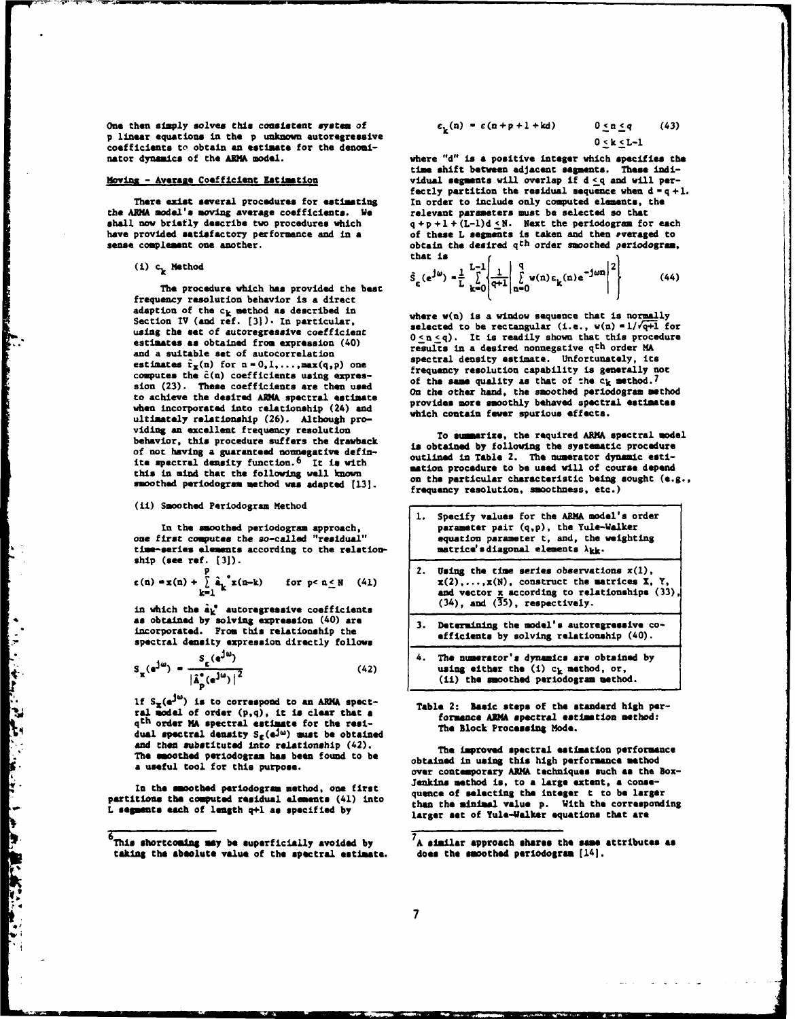One then simply solves this consistent system of p linear equations in **the p** unknown autoregressive coefficients to obtain an estimate for the denomi-<br>nator dynamics of the ARMA model.

the ARMA model's moving average coefficients. We shall now briefly describe two procedures which have provided satisfactory performance and in a **of these L segments** is taken and then everaged to sense complement one another.<br>
obtain the desired q<sup>th</sup> order smoothed periodogram

## (1) **ck** Method **§L(J1) J1 q jn(n)e(ne n 2**

 $\ddot{\cdot}$ 

**CONTRACTOR** 

٦ F.

 $\frac{1}{2}$ 

一、小学 のうち いちょう

The procedure which has provided the best frequency resolution behavior is a direct adaption of the  $c_k$  method as described in **where**  $w(n)$  is a window sequence that is normally Section IV (and ref. [3]). In particular,  $v(n)$  and  $v(n)$  and  $v(n)$  and  $v(n)$  and  $v(n)$  and  $v(n)$  and  $v(n)$  and  $v(n)$  and  $v(n$ estimates as obtained from expression (40) and a suitable set of autocorrelation computes the  $\hat{c}(n)$  coefficients using expres-<br>sion (23). These coefficients are then used of the same quality as that of the camera and when incorporated into relationship (24) and **provides more smoothly behaved** spectral **ultimtely relationship (26). Although pro**viding an excellent frequency resolution **To summarize**, the required ARMA spectral model

## (ii) Smoothed Periodogram Method

$$
\varepsilon(n) = x(n) + \sum_{k=1}^{p} \hat{a}_k^* x(n-k) \quad \text{for } p < n \leq N \quad (41)
$$

$$
S_{\chi}(e^{j\omega}) = \frac{S_{\epsilon}(e^{j\omega})}{|\hat{A}_{D}^{\circ}(e^{j\omega})|^2}
$$
 (42) (42) (41) the unovched periodogram method.

If **Sx( ) is** to correspond to an ARMN spect- Table **2: Basic steps** of the **standard high per**ral modal of order **(p,q),** it is clear that a **formence AWA spectral estimation method:** qth **order MA spectral estimate** for the **rel- The Block** processn **Mods.** dual spectral density **S,(eJw)** ust **be** obtained **and** then substituted into relationship (42). **The** improved spectral estimation performance

$$
c_k(n) = \varepsilon(n+p+1+kd) \qquad 0 \le n \le q \qquad (43)
$$
  
0 < k < l-1

where "d" is a positive integer which specifies the time shift between adjacent segments. These indi-Moving **- Averae** Coefficient Estimation vidual segments will overlap if **d <q and** will perfectly partition the residual sequence when  $d = q + 1$ . In order to include only computed elements, the **There exist several procedures for estimating 1 a order to include only computed elements, the VIRNA model's moving average coefficients. We velocant parameters must be selected so that** shall now briefly describe two procedures which  $q + p + 1 + (L-1)d \leq N$ . Next the periodogram for each have provided satisfactory performance and in a of these L segments is taken and then *everaged* to obtain the desired q<sup>th</sup> order smoothed periodogram, that is  $\epsilon$ 

$$
\hat{S}_{\varepsilon}(\mathbf{e}^{\mathbf{j}\omega}) = \frac{1}{L} \sum_{\mathbf{k}=0}^{L-1} \left| \frac{1}{\mathbf{q}+1} \right| \sum_{\mathbf{n}=0}^{\mathbf{q}} w(\mathbf{n}) \varepsilon_{\mathbf{k}}(\mathbf{n}) e^{-\mathbf{j}\omega \mathbf{n}} \left| \frac{1}{\mathbf{q}} \right| \tag{44}
$$

selected to be rectangular  $(i.e., w(n)=1/\sqrt{q+1}$  for using the set of autoregressive coefficient  $0 \le n \le q$ ). It is readily shown that this procedure results in a desired nonnegative q<sup>th</sup> order MA<br>spectral density estimate. Unfortunately, its estimates  $\hat{\mathbf{r}}_{\mathbf{x}}(\mathbf{n})$  for  $\mathbf{n} = 0,1,\ldots$ , max $(q,p)$  one **frequency resolution capability is generally** not **sion (23).** These **coefficients are then used On the** other hand, the smoothed periodogram method to achieve the desired ARMA spectral estimate on the other hand, the smoothed periodogram method<br>when incorporated into relationable (24) and provides more smoothly behaved spectral estimates

behavior, this procedure suffers the drawback **is obtained by following the systematic procedure** of not having a guaranteed nonnegative defin-<br>
ite spectral density function.<sup>6</sup> It is with<br>  $\frac{1}{2}$  and the numerator dynamic esti-<br>  $\frac{1}{2}$  and  $\frac{1}{2}$  and  $\frac{1}{2}$  and  $\frac{1}{2}$  and  $\frac{1}{2}$  and  $\frac{1}{2}$  and  $\$ ite spectral density function.6 Itis with mation procedure to **be** used will of course depend this in mind that the following well known on **the** particular characteristic being sought **(e.g.,** smoothed periodogram method was adapted **[13].** frequency resolution, smoothness, etc.)

| (11) SECOCHES FELLOGORIAN MECHOS<br>In the smoothed periodogram approach,<br>one first computes the so-called "residual"<br>time-series elements according to the relation- | 1. Specify values for the ARMA model's order<br>parameter pair (q,p), the Yule-Walker<br>equation parameter t, and, the weighting<br>matrice's diagonal elements $\lambda_{kk}$ .        |  |
|-----------------------------------------------------------------------------------------------------------------------------------------------------------------------------|------------------------------------------------------------------------------------------------------------------------------------------------------------------------------------------|--|
| $ship$ (see ref. $[3])$ .<br>$\epsilon(n) = x(n) + \sum_{k=1}^{p} \hat{a}_k^* x(n-k)$ for p< $n \leq N$ (41)<br>in which the $\hat{a}_k^*$ autoregressive coefficients      | 2. Using the time series observations $x(1)$ ,<br>$x(2),,x(N)$ , construct the matrices X, Y,<br>and vector x according to relationships $(33)$ ,<br>$(34)$ , and $(35)$ , respectively. |  |
| as obtained by solving expression (40) are<br>incorporated. From this relationship the<br>spectral demaity expression directly follows                                      | 3. Determining the model's autoregressive co-<br>efficients by solving relationship (40).                                                                                                |  |
| $S_{\mathbf{x}}(e^{j\omega}) = \frac{S_{\epsilon}(e^{j\omega})}{ \hat{A}_{\mathbf{n}}^{\circ}(e^{j\omega}) ^2}$<br>(42)                                                     | 4. The numerator's dynamics are obtained by<br>using either the $(1)$ $c_k$ method, or,<br>(ii) the smoothed periodogram method.                                                         |  |
|                                                                                                                                                                             |                                                                                                                                                                                          |  |

**The** smoothed periodogram has been found to **be obtained in using** this high performance method a useful tool for this purpose. over **contemporary ARNA techniques** such **as** the Box-In the smoothed periodogram method, one first<br>partitions the computed residual elements (41) into<br>L segments each of length q+1 as specified by<br>L segments each of length q+1 as specified by<br>larger set of Yule-Walker equati

**<sup>6</sup> This shortcoming my be superficially avoided by 7A similar approach shares the same attributes as taking** the **absolute value** of **the spectral estimate. does the** smoothed **periodogram (14].**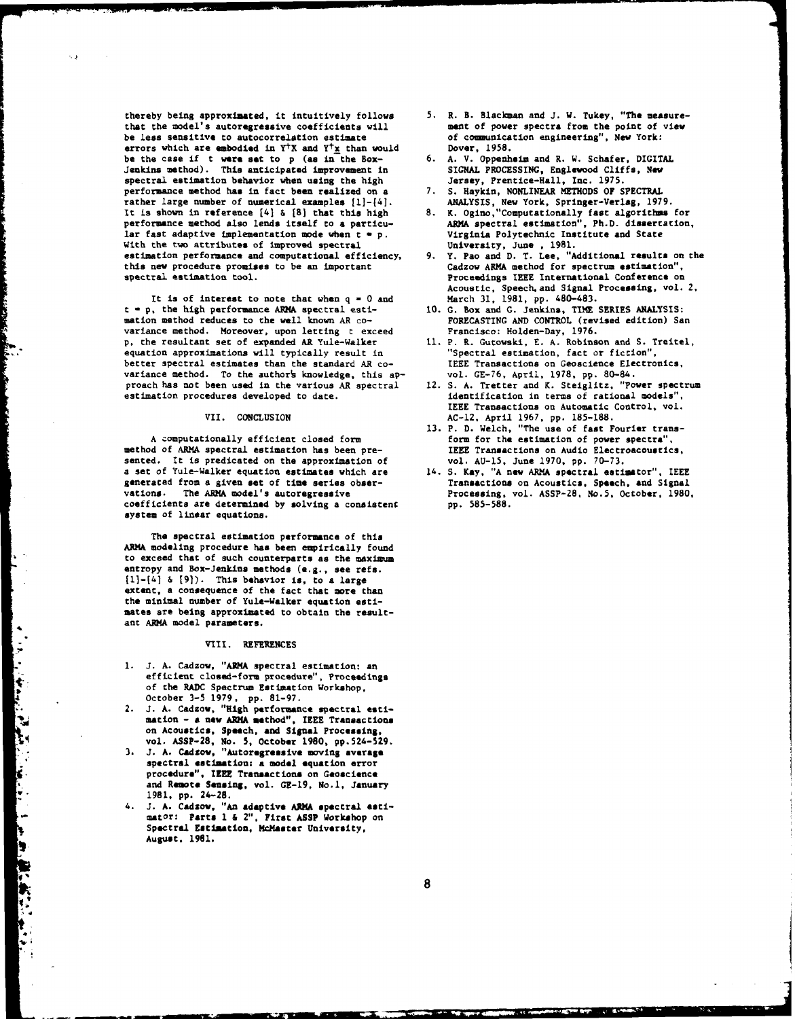thereby being approximated, it intuitively follows **5.** R. **B.** Blackman and **J.** W. Tukey, "The measure that the model's autoregressive coefficients will<br>be less sensitive to autocorrelation estimate errors which are embodied in Y<sup>+</sup>X and Y<sup>+</sup>x than would Dover, 1958.<br>be the case if t were set to p (as in the Box- 6. A. V. Oppenheim and R. W. Schafer, DIGITAL **be the case if t were set to p (as in the Box-** 6. A. V. Oppenheim and R. W. Schafer, DIGIT.<br>Jenkins method). This anticipated improvement in SIGNAL PROCESSING, Englewood Cliffs, New Jenkins method). This anticipated improvement in SIGNAL PROCESSING, Englewood Clif<br>spectral estimation behavior when using the high **Signaphy Street (Senatice-Hall**, Inc. 1975. spectral estimation behavior when using the high Jersey, Prentice-Hall, Inc. 1975.<br>
performance method has in fact been realized on a 7. S. Haykin, NONLINEAR METHODS OF SPECTRAL performance method has in fact been realized on a *7* rather large number of numerical examples  $[1]-[4]$ . rather large number of numerical examples [1]-(4]. **ANALYSIS,** New York, Springer-Verlag, **1979.** It is shown in reference [41 **& 18]** that this high **8.** K. Ogino,"Computationally fast algorithms for performance method also lends itself to **a** particu- ARMA spectral estimation", Ph.D. dissertation, lar fast adaptive implementation mode when t **- p.** Virginia Polytechnic Institute **and** State With the two attributes of improved spectral estimation performance and computational efficiency, 9. Y. Pao and D. T. Lee, "Additional results on this new procedure promises to be an important Cadzow ARMA method for spectrum estimation", this new procedure promises to be an important

 $\sim$  1

It is of interest to note that when  $q = 0$  and  $t = p$ , the high performance ARMA spectral estimation method reduces to the well known AR covariance method. Moreover, upon letting t exceed Francisco: Holden-Day, **1976. p,** the resultant set of expanded AR Yule-Walker **11.** P. R. Gutowski, **E. A.** Robinson and **S.** Treitel, equation approximations will typically result in The "Spectral estimation, fact or fiction",<br>better spectral estimates than the standard AR co-TEEE Transactions on Geoscience Electronics, better spectral estimates than the standard AR co-<br>variance method. To the authors knowledge, this ap-<br>vol. GE-76, April, 1978, pp. 80-84. variance method. To the author's knowledge, this ap-<br>proach has not been used in the various AR spectral 12. S. A. Tretter and K. Steiglitz, "Power spectrum proach has not been used in the various AR spectral estimation procedures developed to date. in terms of rational models",

method of **ARMA** spectral estimation has been pre- **IEEE** Transactions on Audio Electroacoustics, sented. It is predicated on the approximation of vol. AU-15, June 1970, pp. 70-73.<br>a set of Yule-Walker equation estimates which are 14. S. Kay, "A new ARMA spectral estimator", IEEE **generated from a given set of time series obser-** Transactions on Acoustics, Speech, and Signal<br>vations. The ARMA model's autoregressive **Transactions**, vol. ASSP-28, No.5, October, 1980 coefficients are determined by solving a consistent system of linear equations.

The spectral estimation performance of this **ARMA** modeling procedure has been empirically found to exceed that of such counterparts as the **maximum** entropy and Box-Jenkins methods **(e.g.,** see **refs. [1]-[41 & 191).** This behavior is, to a large extent, a consequence of the fact that more than **the** minimal number of Yule-Walker equation estimates are being approximated to obtain the resultant **ARMA** model parameters.

### **VIII.** REFERENCES

- **1. J. A.** Cadzow, "ARMA spectral estimation: an efficient closed-form procedure", Proceedings of the RADC Spectrum Estimation Workshop, efficient closed-form procedure<br>of the RADC Spectrum Estimation<br>october 3-5 1979, pp. 81-97.<br>2. J. A. Cadzow, "High performance",<br>mation - a new ARMA method",
	- 2. **J. A.** Cadzow, "High performance spectral **esti**mation **- a new ARMA method", IEEE** Transactions on Acoustics, Speech, **and Signal Processing,** '4 vol. **ASSP-28,** No. **5, October 1980, pp.524-529. 3. J. A.** Cadsow, **"Autoregressive** moving **average**
		- **spectral estimation: a model equation** error **procedure",** IEEE **Transactions** on Geoscience **and Rewte Sensing,** vol. **GE-19,** No.1, **January 1981, pp.** 24-28.
		- 4. **J. A.** Cadsow, "An **adaptive AIMA** spectral **estimator: Parts 1 & 2",** First **ASSP** Workshop on Spectral **Estlmtion, McMaster University,** August, **1961.**
- of communication engineering", New York:<br>Dover, 1958.
- 
- 
- 
- spectral estimation tool. Proceedings **IEEE** International Conference on Acoustic, Speech, and Signal Processing, vol. 2, March 31, 1981, pp. 480-483.
	- 10. G. Box and G. Jenkins, TIME SERIES ANALYSIS:<br> **FORECASTING AND CONTROL** (revised edition) San
	-
	- **IEEE** Transactions on Automatic Control, vol. VII. **CONCLUSION AC-12,** April **1967, pp. 185-188.**
	- A computationally efficient closed form **Accomputation** form for the estimation of power spectra",
		- Processing, vol. ASSP-28, No.5, October, 1980, pp. 585-588.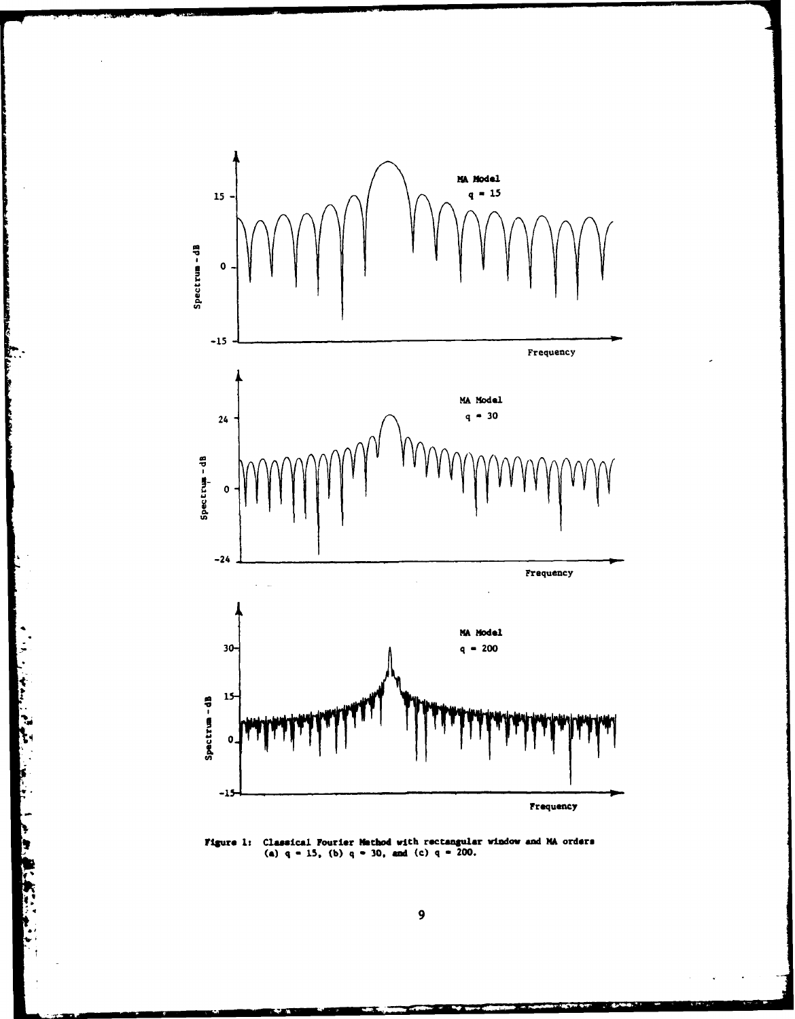

and the first state

**Figure 1:** Classical Fourier Mathod with rectangular window and MA orders (a)  $q = 15$ , (b)  $q = 30$ , and (c)  $q = 200$ .